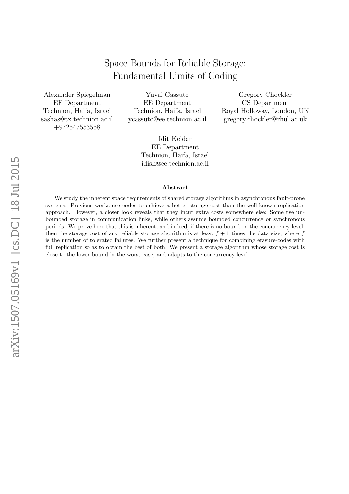# Space Bounds for Reliable Storage: Fundamental Limits of Coding

Alexander Spiegelman EE Department Technion, Haifa, Israel sashas@tx.technion.ac.il +972547553558

Yuval Cassuto EE Department Technion, Haifa, Israel ycassuto@ee.technion.ac.il

Gregory Chockler CS Department Royal Holloway, London, UK gregory.chockler@rhul.ac.uk

Idit Keidar EE Department Technion, Haifa, Israel idish@ee.technion.ac.il

#### Abstract

We study the inherent space requirements of shared storage algorithms in asynchronous fault-prone systems. Previous works use codes to achieve a better storage cost than the well-known replication approach. However, a closer look reveals that they incur extra costs somewhere else: Some use unbounded storage in communication links, while others assume bounded concurrency or synchronous periods. We prove here that this is inherent, and indeed, if there is no bound on the concurrency level, then the storage cost of any reliable storage algorithm is at least  $f + 1$  times the data size, where f is the number of tolerated failures. We further present a technique for combining erasure-codes with full replication so as to obtain the best of both. We present a storage algorithm whose storage cost is close to the lower bound in the worst case, and adapts to the concurrency level.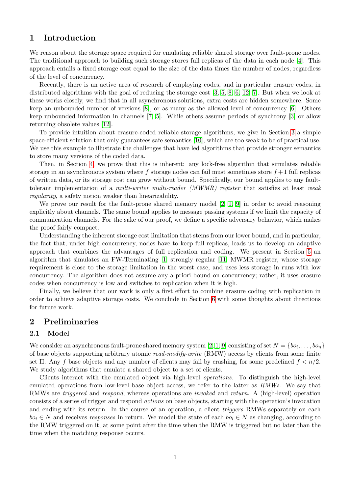# 1 Introduction

We reason about the storage space required for emulating reliable shared storage over fault-prone nodes. The traditional approach to building such storage stores full replicas of the data in each node [\[4\]](#page-18-0). This approach entails a fixed storage cost equal to the size of the data times the number of nodes, regardless of the level of concurrency.

Recently, there is an active area of research of employing codes, and in particular erasure codes, in distributed algorithms with the goal of reducing the storage cost [\[3,](#page-18-1) [5,](#page-18-2) [8,](#page-18-3) [6,](#page-18-4) [12,](#page-18-5) [7\]](#page-18-6). But when we look at these works closely, we find that in all asynchronous solutions, extra costs are hidden somewhere. Some keep an unbounded number of versions [\[8\]](#page-18-3), or as many as the allowed level of concurrency [\[6\]](#page-18-4). Others keep unbounded information in channels [\[7,](#page-18-6) [5\]](#page-18-2). While others assume periods of synchrony [\[3\]](#page-18-1) or allow returning obsolete values [\[12\]](#page-18-5).

To provide intuition about erasure-coded reliable storage algorithms, we give in Section [3](#page-3-0) a simple space-efficient solution that only guarantees safe semantics [\[10\]](#page-18-7), which are too weak to be of practical use. We use this example to illustrate the challenges that have led algorithms that provide stronger semantics to store many versions of the coded data.

Then, in Section [4,](#page-5-0) we prove that this is inherent: any lock-free algorithm that simulates reliable storage in an asynchronous system where f storage nodes can fail must sometimes store  $f + 1$  full replicas of written data, or its storage cost can grow without bound. Specifically, our bound applies to any faulttolerant implementation of a multi-writer multi-reader (MWMR) register that satisfies at least weak regularity, a safety notion weaker than linearizability.

We prove our result for the fault-prone shared memory model [\[2,](#page-17-0) [1,](#page-17-1) [9\]](#page-18-8) in order to avoid reasoning explicitly about channels. The same bound applies to message passing systems if we limit the capacity of communication channels. For the sake of our proof, we define a specific adversary behavior, which makes the proof fairly compact.

Understanding the inherent storage cost limitation that stems from our lower bound, and in particular, the fact that, under high concurrency, nodes have to keep full replicas, leads us to develop an adaptive approach that combines the advantages of full replication and coding. We present in Section [5](#page-9-0) an algorithm that simulates an FW-Terminating [\[1\]](#page-17-1) strongly regular [\[11\]](#page-18-9) MWMR register, whose storage requirement is close to the storage limitation in the worst case, and uses less storage in runs with low concurrency. The algorithm does not assume any a priori bound on concurrency; rather, it uses erasure codes when concurrency is low and switches to replication when it is high.

Finally, we believe that our work is only a first effort to combine erasure coding with replication in order to achieve adaptive storage costs. We conclude in Section [6](#page-11-0) with some thoughts about directions for future work.

# 2 Preliminaries

### 2.1 Model

We consider an asynchronous fault-prone shared memory system [\[2,](#page-17-0) [1,](#page-17-1) [9\]](#page-18-8) consisting of set  $N = \{bo_i, \ldots, bo_n\}$ of base objects supporting arbitrary atomic read-modify-write (RMW) access by clients from some finite set Π. Any f base objects and any number of clients may fail by crashing, for some predefined  $f < n/2$ . We study algorithms that emulate a shared object to a set of clients.

Clients interact with the emulated object via high-level operations. To distinguish the high-level emulated operations from low-level base object access, we refer to the latter as RMWs. We say that RMWs are *triggered* and *respond*, whereas operations are *invoked* and *return*. A (high-level) operation consists of a series of trigger and respond actions on base objects, starting with the operation's invocation and ending with its return. In the course of an operation, a client *triggers* RMWs separately on each  $bo_i \in N$  and receives responses in return. We model the state of each  $bo_i \in N$  as changing, according to the RMW triggered on it, at some point after the time when the RMW is triggered but no later than the time when the matching response occurs.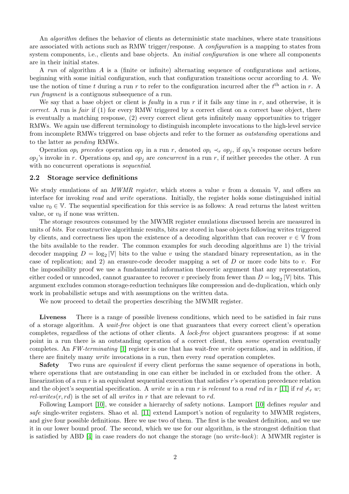An *algorithm* defines the behavior of clients as deterministic state machines, where state transitions are associated with actions such as RMW trigger/response. A configuration is a mapping to states from system components, i.e., clients and base objects. An *initial configuration* is one where all components are in their initial states.

A run of algorithm  $\tilde{A}$  is a (finite or infinite) alternating sequence of configurations and actions, beginning with some initial configuration, such that configuration transitions occur according to A. We use the notion of time t during a run r to refer to the configuration incurred after the  $t<sup>th</sup>$  action in r. A run fragment is a contiguous subsequence of a run.

We say that a base object or client is *faulty* in a run r if it fails any time in r, and otherwise, it is correct. A run is fair if (1) for every RMW triggered by a correct client on a correct base object, there is eventually a matching response, (2) every correct client gets infinitely many opportunities to trigger RMWs. We again use different terminology to distinguish incomplete invocations to the high-level service from incomplete RMWs triggered on base objects and refer to the former as outstanding operations and to the latter as pending RMWs.

Operation *op<sub>i</sub>* precedes operation *op<sub>j</sub>* in a run r, denoted *op<sub>i</sub>*  $\prec_r op_j$ , if *op<sub>i</sub>*'s response occurs before  $op_j$ 's invoke in r. Operations  $op_i$  and  $op_j$  are *concurrent* in a run r, if neither precedes the other. A run with no concurrent operations is *sequential*.

#### 2.2 Storage service definitions

We study emulations of an *MWMR register*, which stores a value v from a domain  $V$ , and offers an interface for invoking read and write operations. Initially, the register holds some distinguished initial value  $v_0 \in V$ . The sequential specification for this service is as follows: A read returns the latest written value, or  $v_0$  if none was written.

The storage resources consumed by the MWMR register emulations discussed herein are measured in units of bits. For constructive algorithmic results, bits are stored in base objects following writes triggered by clients, and correctness lies upon the existence of a decoding algorithm that can recover  $v \in V$  from the bits available to the reader. The common examples for such decoding algorithms are 1) the trivial decoder mapping  $D = \log_2 |\mathbb{V}|$  bits to the value v using the standard binary representation, as in the case of replication; and 2) an erasure-code decoder mapping a set of D or more code bits to v. For the impossibility proof we use a fundamental information theoretic argument that any representation, either coded or unncoded, cannot guarantee to recover v precisely from fewer than  $D = \log_2 |\mathbb{V}|$  bits. This argument excludes common storage-reduction techniques like compression and de-duplication, which only work in probabilistic setups and with assumptions on the written data.

We now proceed to detail the properties describing the MWMR register.

Liveness There is a range of possible liveness conditions, which need to be satisfied in fair runs of a storage algorithm. A wait-free object is one that guarantees that every correct client's operation completes, regardless of the actions of other clients. A lock-free object guarantees progress: if at some point in a run there is an outstanding operation of a correct client, then *some* operation eventually completes. An  $FW-terminating$  [\[1\]](#page-17-1) register is one that has wait-free *write* operations, and in addition, if there are finitely many *write* invocations in a run, then every *read* operation completes.

Safety Two runs are *equivalent* if every client performs the same sequence of operations in both, where operations that are outstanding in one can either be included in or excluded from the other. A linearization of a run r is an equivalent sequential execution that satisfies r's operation precedence relation and the object's sequential specification. A write w in a run r is relevant to a read rd in r [\[11\]](#page-18-9) if rd  $\not\prec_r w$ ; rel-writes $(r, rd)$  is the set of all writes in r that are relevant to rd.

Following Lamport [\[10\]](#page-18-7), we consider a hierarchy of safety notions. Lamport [10] defines *regular* and safe single-writer registers. Shao et al. [\[11\]](#page-18-9) extend Lamport's notion of regularity to MWMR registers, and give four possible definitions. Here we use two of them. The first is the weakest definition, and we use it in our lower bound proof. The second, which we use for our algorithm, is the strongest definition that is satisfied by ABD [\[4\]](#page-18-0) in case readers do not change the storage (no write-back): A MWMR register is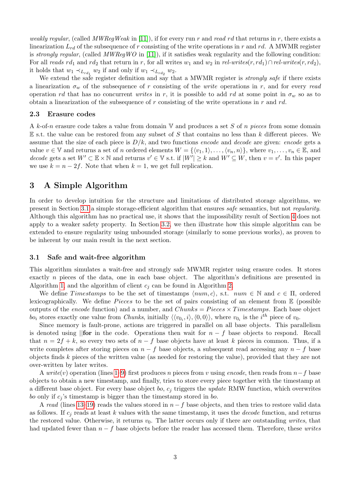weakly regular, (called MWRegWeak in [\[11\]](#page-18-9)), if for every run r and read rd that returns in r, there exists a linearization  $L_{rd}$  of the subsequence of r consisting of the write operations in r and rd. A MWMR register is strongly regular, (called  $MWRegWO$  in [\[11\]](#page-18-9)), if it satisfies weak regularity and the following condition: For all reads rd<sub>1</sub> and rd<sub>2</sub> that return in r, for all writes w<sub>1</sub> and w<sub>2</sub> in rel-writes(r, rd<sub>1</sub>)∩rel-writes(r, rd<sub>2</sub>), it holds that  $w_1 \prec_{L_{rd_1}} w_2$  if and only if  $w_1 \prec_{L_{rd_2}} w_2$ .

We extend the safe register definition and say that a MWMR register is *strongly safe* if there exists a linearization  $\sigma_w$  of the subsequence of r consisting of the *write* operations in r, and for every read operation rd that has no concurrent writes in r, it is possible to add rd at some point in  $\sigma_w$  so as to obtain a linearization of the subsequence of  $r$  consisting of the write operations in  $r$  and  $rd$ .

#### 2.3 Erasure codes

A k-of-n erasure code takes a value from domain  $V$  and produces a set S of n pieces from some domain  $E$  s.t. the value can be restored from any subset of S that contains no less than k different pieces. We assume that the size of each piece is  $D/k$ , and two functions encode and decode are given: encode gets a value  $v \in \mathbb{V}$  and returns a set of n ordered elements  $W = \{ \langle v_1, 1 \rangle, \ldots, \langle v_n, n \rangle \}$ , where  $v_1, \ldots, v_n \in \mathbb{E}$ , and decode gets a set  $W' \subset \mathbb{E} \times \mathbb{N}$  and returns  $v' \in \mathbb{V}$  s.t. if  $|W'| \geq k$  and  $W' \subseteq W$ , then  $v = v'$ . In this paper we use  $k = n - 2f$ . Note that when  $k = 1$ , we get full replication.

# <span id="page-3-0"></span>3 A Simple Algorithm

In order to develop intuition for the structure and limitations of distributed storage algorithms, we present in Section [3.1](#page-3-1) a simple storage-efficient algorithm that ensures safe semantics, but not regularity. Although this algorithm has no practical use, it shows that the impossibility result of Section [4](#page-5-0) does not apply to a weaker safety property. In Section [3.2,](#page-4-0) we then illustrate how this simple algorithm can be extended to ensure regularity using unbounded storage (similarly to some previous works), as proven to be inherent by our main result in the next section.

#### <span id="page-3-1"></span>3.1 Safe and wait-free algorithm

This algorithm simulates a wait-free and strongly safe MWMR register using erasure codes. It stores exactly *n* pieces of the data, one in each base object. The algorithm's definitions are presented in Algorithm [1,](#page-4-1) and the algorithm of client  $c_i$  can be found in Algorithm [2.](#page-4-2)

We define Timestamps to be the set of timestamps  $\langle num, c \rangle$ , s.t.  $num \in \mathbb{N}$  and  $c \in \Pi$ , ordered lexicographically. We define *Pieces* to be the set of pairs consisting of an element from  $\mathbb E$  (possible outputs of the encode function) and a number, and  $Chunks = Picces \times Times \times maps$ . Each base object bo<sub>i</sub> stores exactly one value from *Chunks*, initially  $\langle\langle v_{0_i}, i \rangle, \langle 0, 0 \rangle\rangle$ , where  $v_{0_i}$  is the *i*<sup>th</sup> piece of  $v_0$ .

Since memory is fault-prone, actions are triggered in parallel on all base objects. This parallelism is denoted using  $\|\textbf{for} \text{ in the code.}$  Operations then wait for  $n - f$  base objects to respond. Recall that  $n = 2f + k$ , so every two sets of  $n - f$  base objects have at least k pieces in common. Thus, if a write completes after storing pieces on  $n - f$  base objects, a subsequent read accessing any  $n - f$  base objects finds k pieces of the written value (as needed for restoring the value), provided that they are not over-written by later writes.

A write(v) operation (lines [1–9\)](#page-4-2) first produces n pieces from v using encode, then reads from  $n-f$  base objects to obtain a new timestamp, and finally, tries to store every piece together with the timestamp at a different base object. For every base object bo,  $c_j$  triggers the update RMW function, which overwrites bo only if  $c_j$ 's timestamp is bigger than the timestamp stored in bo.

A read (lines [13–19\)](#page-4-2) reads the values stored in  $n-f$  base objects, and then tries to restore valid data as follows. If  $c_j$  reads at least k values with the same timestamp, it uses the *decode* function, and returns the restored value. Otherwise, it returns  $v_0$ . The latter occurs only if there are outstanding *writes*, that had updated fewer than  $n - f$  base objects before the reader has accessed them. Therefore, these writes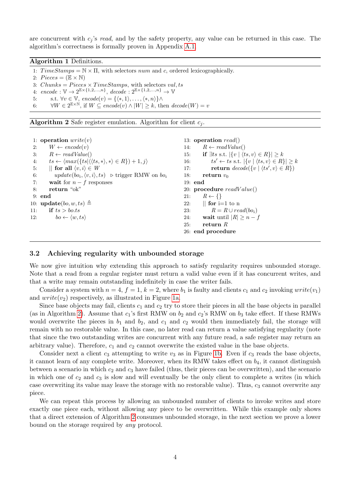are concurrent with  $c_j$ 's read, and by the safety property, any value can be returned in this case. The algorithm's correctness is formally proven in Appendix [A.1.](#page-13-0)

### <span id="page-4-1"></span>Algorithm 1 Definitions.

1:  $TimeStamps = N \times \Pi$ , with selectors num and c, ordered lexicographically. 2:  $P \text{ }| \mathbb{E} \times \mathbb{N}|$ 3: Chunks =  $\text{P}i eces \times \text{TimeStamps}$ , with selectors val, ts 4:  $encode : \mathbb{V} \to 2^{\mathbb{E} \times \{1, 2, ..., n\}}, decode : 2^{\mathbb{E} \times \{1, 2, ..., n\}} \to \mathbb{V}$ 5: s.t.  $\forall v \in \mathbb{V}$ ,  $encode(v) = \{\langle *, 1 \rangle, \dots, \langle *, n \rangle\} \wedge$ 6:  $\forall W \in 2^{\mathbb{E} \times \mathbb{N}}, \text{ if } W \subseteq encode(v) \land |W| \geq k, \text{ then } decode(W) = v$ 

<span id="page-4-2"></span>Algorithm 2 Safe register emulation. Algorithm for client  $c_i$ .

| 1: operation $write(v)$ |                                                                                                                |     | 13: operation $read()$                                                        |  |
|-------------------------|----------------------------------------------------------------------------------------------------------------|-----|-------------------------------------------------------------------------------|--|
| 2:                      | $W \leftarrow encode(v)$                                                                                       | 14: | $R \leftarrow \text{readValue}()$                                             |  |
| 3:                      | $R \leftarrow \text{readValue}()$                                                                              | 15: | if $\exists ts \text{ s.t. }  \{v \mid \langle ts, v \rangle \in R\}  \geq k$ |  |
| 4:                      | $ts \leftarrow \langle max(\lbrace ts   \langle \langle ts, * \rangle, *\rangle \in R \rbrace) + 1, j \rangle$ | 16: | $ts' \leftarrow ts$ s.t. $ \{v \mid \langle ts, v \rangle \in R\}  \geq k$    |  |
| 5:                      | $\parallel$ for all $\langle v, i \rangle \in W$                                                               | 17: | return $decode({v   \langle ts', v \rangle \in R})$                           |  |
| 6:                      | $update(bo_i, \langle v, i \rangle, ts) \geq trigger RMW on bo_i$                                              | 18: | return $v_0$                                                                  |  |
| 7:                      | wait for $n - f$ responses                                                                                     |     | $19:$ end                                                                     |  |
| 8:                      | return "ok"                                                                                                    |     | 20: procedure $readValue()$                                                   |  |
|                         | 9: end                                                                                                         | 21: | $R \leftarrow \{\}$                                                           |  |
|                         | 10: <b>update</b> $(bo, w, ts) \triangleq$                                                                     | 22: | $\parallel$ for i=1 to n                                                      |  |
| 11:                     | if $ts > \text{bo} \cdot ts$                                                                                   | 23: | $R = R \cup read(bo_i)$                                                       |  |
|                         | 12: $bo \leftarrow \langle w, ts \rangle$                                                                      | 24: | wait until $ R  \geq n-f$                                                     |  |
|                         |                                                                                                                | 25: | return $R$                                                                    |  |
|                         |                                                                                                                |     | 26: end procedure                                                             |  |

#### <span id="page-4-0"></span>3.2 Achieving regularity with unbounded storage

We now give intuition why extending this approach to satisfy regularity requires unbounded storage. Note that a read from a regular register must return a valid value even if it has concurrent writes, and that a write may remain outstanding indefinitely in case the writer fails.

Consider a system with  $n = 4$ ,  $f = 1$ ,  $k = 2$ , where  $b_1$  is faulty and clients  $c_1$  and  $c_2$  invoking  $write(v_1)$ and  $write(v_2)$  respectively, as illustrated in Figure [1a.](#page-5-1)

Since base objects may fail, clients  $c_1$  and  $c_2$  try to store their pieces in all the base objects in parallel (as in Algorithm [2\)](#page-4-2). Assume that  $c_1$ 's first RMW on  $b_2$  and  $c_2$ 's RMW on  $b_3$  take effect. If these RMWs would overwrite the pieces in  $b_1$  and  $b_2$ , and  $c_1$  and  $c_2$  would then immediately fail, the storage will remain with no restorable value. In this case, no later read can return a value satisfying regularity (note that since the two outstanding writes are concurrent with any future read, a safe register may return an arbitrary value). Therefore,  $c_1$  and  $c_2$  cannot overwrite the existed value in the base objects.

Consider next a client  $c_3$  attempting to write  $v_3$  as in Figure [1b.](#page-5-1) Even if  $c_3$  reads the base objects, it cannot learn of any complete write. Moreover, when its RMW takes effect on  $b_4$ , it cannot distinguish between a scenario in which  $c_2$  and  $c_3$  have failed (thus, their pieces can be overwritten), and the scenario in which one of  $c_2$  and  $c_3$  is slow and will eventually be the only client to complete a writes (in which case overwriting its value may leave the storage with no restorable value). Thus,  $c_3$  cannot overwrite any piece.

We can repeat this process by allowing an unbounded number of clients to invoke writes and store exactly one piece each, without allowing any piece to be overwritten. While this example only shows that a direct extension of Algorithm [2](#page-4-2) consumes unbounded storage, in the next section we prove a lower bound on the storage required by any protocol.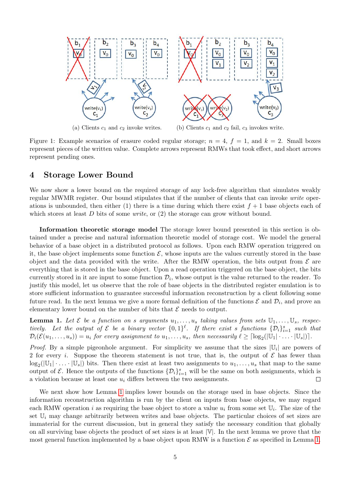<span id="page-5-1"></span>

Figure 1: Example scenarios of erasure coded regular storage;  $n = 4$ ,  $f = 1$ , and  $k = 2$ . Small boxes represent pieces of the written value. Complete arrows represent RMWs that took effect, and short arrows represent pending ones.

# <span id="page-5-0"></span>4 Storage Lower Bound

We now show a lower bound on the required storage of any lock-free algorithm that simulates weakly regular MWMR register. Our bound stipulates that if the number of clients that can invoke *write* operations is unbounded, then either (1) there is a time during which there exist  $f + 1$  base objects each of which stores at least  $D$  bits of some *write*, or  $(2)$  the storage can grow without bound.

Information theoretic storage model The storage lower bound presented in this section is obtained under a precise and natural information theoretic model of storage cost. We model the general behavior of a base object in a distributed protocol as follows. Upon each RMW operation triggered on it, the base object implements some function  $\mathcal{E}$ , whose inputs are the values currently stored in the base object and the data provided with the write. After the RMW operation, the bits output from  $\mathcal E$  are everything that is stored in the base object. Upon a read operation triggered on the base object, the bits currently stored in it are input to some function  $\mathcal{D}_i$ , whose output is the value returned to the reader. To justify this model, let us observe that the role of base objects in the distributed register emulation is to store sufficient information to guarantee successful information reconstruction by a client following some future read. In the next lemma we give a more formal definition of the functions  $\mathcal E$  and  $\mathcal D_i$ , and prove an elementary lower bound on the number of bits that  $\mathcal E$  needs to output.

<span id="page-5-2"></span>**Lemma 1.** Let  $\mathcal{E}$  be a function on s arguments  $u_1, \ldots, u_s$  taking values from sets  $\mathbb{U}_1, \ldots, \mathbb{U}_s$ , respectively. Let the output of  $\mathcal E$  be a binary vector  $\{0,1\}^{\ell}$ . If there exist s functions  $\{\mathcal D_i\}_{i=1}^s$  such that  $\mathcal{D}_i(\mathcal{E}(u_1,\ldots,u_s)) = u_i$  for every assignment to  $u_1,\ldots,u_s$ , then necessarily  $\ell \geq \lceil \log_2(|\mathbb{U}_1| \cdot \ldots \cdot |\mathbb{U}_s|) \rceil$ .

*Proof.* By a simple pigeonhole argument. For simplicity we assume that the sizes  $|\mathbb{U}_i|$  are powers of 2 for every i. Suppose the theorem statement is not true, that is, the output of  $\mathcal E$  has fewer than  $\log_2(|\mathbb{U}_1|\cdot\ldots\cdot|\mathbb{U}_s|)$  bits. Then there exist at least two assignments to  $u_1,\ldots,u_s$  that map to the same output of  $\mathcal E$ . Hence the outputs of the functions  $\{\mathcal D_i\}_{i=1}^s$  will be the same on both assignments, which is a violation because at least one  $u_i$  differs between the two assignments.  $\Box$ 

We next show how Lemma [1](#page-5-2) implies lower bounds on the storage used in base objects. Since the information reconstruction algorithm is run by the client on inputs from base objects, we may regard each RMW operation i as requiring the base object to store a value  $u_i$  from some set  $\mathbb{U}_i$ . The size of the set  $\mathbb{U}_i$  may change arbitrarily between writes and base objects. The particular choices of set sizes are immaterial for the current discussion, but in general they satisfy the necessary condition that globally on all surviving base objects the product of set sizes is at least |V|. In the next lemma we prove that the most general function implemented by a base object upon RMW is a function  $\mathcal E$  as specified in Lemma [1.](#page-5-2)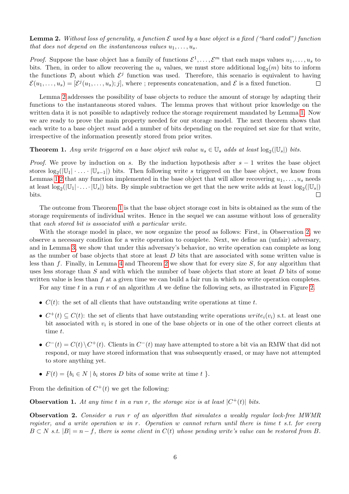<span id="page-6-0"></span>**Lemma 2.** Without loss of generality, a function  $\mathcal E$  used by a base object is a fixed ("hard coded") function that does not depend on the instantaneous values  $u_1, \ldots, u_s$ .

*Proof.* Suppose the base object has a family of functions  $\mathcal{E}^1, \ldots, \mathcal{E}^m$  that each maps values  $u_1, \ldots, u_s$  to bits. Then, in order to allow recovering the  $u_i$  values, we must store additional  $\log_2(m)$  bits to inform the functions  $\mathcal{D}_i$  about which  $\mathcal{E}^j$  function was used. Therefore, this scenario is equivalent to having  $\mathcal{E}(u_1,\ldots,u_s)=[\mathcal{E}^j(u_1,\ldots,u_s);j],$  where ; represents concatenation, and  $\mathcal E$  is a fixed function.  $\Box$ 

Lemma [2](#page-6-0) addresses the possibility of base objects to reduce the amount of storage by adapting their functions to the instantaneous stored values. The lemma proves that without prior knowledge on the written data it is not possible to adaptively reduce the storage requirement mandated by Lemma [1.](#page-5-2) Now we are ready to prove the main property needed for our storage model. The next theorem shows that each write to a base object *must* add a number of bits depending on the required set size for that write, irrespective of the information presently stored from prior writes.

<span id="page-6-1"></span>**Theorem 1.** Any write triggered on a base object wih value  $u_s \in \mathbb{U}_s$  adds at least  $\log_2(|\mathbb{U}_s|)$  bits.

*Proof.* We prove by induction on s. By the induction hypothesis after  $s - 1$  writes the base object stores  $\log_2(|\mathbb{U}_1| \cdot \ldots \cdot |\mathbb{U}_{s-1}|)$  bits. Then following write s triggered on the base object, we know from Lemmas [1,](#page-5-2)[2](#page-6-0) that any function implemented in the base object that will allow recovering  $u_1, \ldots, u_s$  needs at least  $\log_2(|\mathbb{U}_1|\cdot\ldots\cdot|\mathbb{U}_s|)$  bits. By simple subtraction we get that the new write adds at least  $\log_2(|\mathbb{U}_s|)$ bits.  $\Box$ 

The outcome from Theorem [1](#page-6-1) is that the base object storage cost in bits is obtained as the sum of the storage requirements of individual writes. Hence in the sequel we can assume without loss of generality that each stored bit is associated with a particular write.

With the storage model in place, we now organize the proof as follows: First, in Observation [2,](#page-6-2) we observe a necessary condition for a write operation to complete. Next, we define an (unfair) adversary, and in Lemma [3,](#page-7-0) we show that under this adversary's behavior, no write operation can complete as long as the number of base objects that store at least  $D$  bits that are associated with some written value is less than f. Finally, in Lemma [4](#page-8-0) and Theorem [2](#page-8-1) we show that for every size  $S$ , for any algorithm that uses less storage than S and with which the number of base objects that store at least D bits of some written value is less than f at a given time we can build a fair run in which no write operation completes.

For any time t in a run  $r$  of an algorithm A we define the following sets, as illustrated in Figure [2.](#page-7-1)

- $C(t)$ : the set of all clients that have outstanding write operations at time t.
- $C^+(t) \subseteq C(t)$ : the set of clients that have outstanding write operations  $write_i(v_i)$  s.t. at least one bit associated with  $v_i$  is stored in one of the base objects or in one of the other correct clients at time t.
- $C^-(t) = C(t) \setminus C^+(t)$ . Clients in  $C^-(t)$  may have attempted to store a bit via an RMW that did not respond, or may have stored information that was subsequently erased, or may have not attempted to store anything yet.
- $F(t) = \{b_i \in N \mid b_i \text{ stores } D \text{ bits of some write at time } t \}.$

From the definition of  $C^+(t)$  we get the following:

<span id="page-6-3"></span>**Observation 1.** At any time t in a run r, the storage size is at least  $|C^+(t)|$  bits.

<span id="page-6-2"></span>Observation 2. Consider a run r of an algorithm that simulates a weakly regular lock-free MWMR register, and a write operation w in r. Operation w cannot return until there is time t s.t. for every  $B \subset N$  s.t.  $|B| = n - f$ , there is some client in  $C(t)$  whose pending write's value can be restored from B.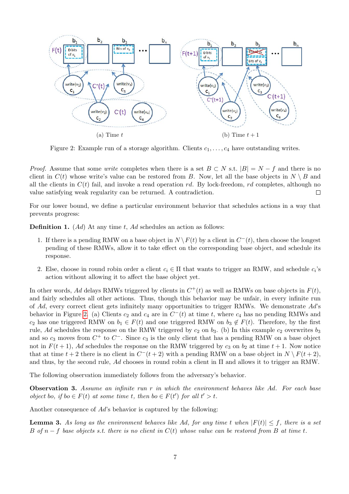<span id="page-7-1"></span>

Figure 2: Example run of a storage algorithm. Clients  $c_1, \ldots, c_4$  have outstanding writes.

*Proof.* Assume that some *write* completes when there is a set  $B \subset N$  s.t.  $|B| = N - f$  and there is no client in  $C(t)$  whose write's value can be restored from B. Now, let all the base objects in  $N \setminus B$  and all the clients in  $C(t)$  fail, and invoke a read operation rd. By lock-freedom, rd completes, although no value satisfying weak regularity can be returned. A contradiction. Г

For our lower bound, we define a particular environment behavior that schedules actions in a way that prevents progress:

**Definition 1.** (Ad) At any time t, Ad schedules an action as follows:

- 1. If there is a pending RMW on a base object in  $N \setminus F(t)$  by a client in  $C^-(t)$ , then choose the longest pending of these RMWs, allow it to take effect on the corresponding base object, and schedule its response.
- 2. Else, choose in round robin order a client  $c_i \in \Pi$  that wants to trigger an RMW, and schedule  $c_i$ 's action without allowing it to affect the base object yet.

In other words, Ad delays RMWs triggered by clients in  $C^+(t)$  as well as RMWs on base objects in  $F(t)$ , and fairly schedules all other actions. Thus, though this behavior may be unfair, in every infinite run of  $Ad$ , every correct client gets infinitely many opportunities to trigger RMWs. We demonstrate  $Ad$ 's behavior in Figure [2.](#page-7-1) (a) Clients  $c_2$  and  $c_4$  are in  $C^-(t)$  at time t, where  $c_4$  has no pending RMWs and  $c_2$  has one triggered RMW on  $b_1 \in F(t)$  and one triggered RMW on  $b_3 \notin F(t)$ . Therefore, by the first rule, Ad schedules the response on the RMW triggered by  $c_2$  on  $b_3$ . (b) In this example  $c_2$  overwrites  $b_3$ and so  $c_3$  moves from  $C^+$  to  $C^-$ . Since  $c_3$  is the only client that has a pending RMW on a base object not in  $F(t + 1)$ , Ad schedules the response on the RMW triggered by  $c_3$  on  $b_2$  at time  $t + 1$ . Now notice that at time  $t + 2$  there is no client in  $C^-(t+2)$  with a pending RMW on a base object in  $N \setminus F(t+2)$ , and thus, by the second rule, Ad chooses in round robin a client in  $\Pi$  and allows it to trigger an RMW.

The following observation immediately follows from the adversary's behavior.

<span id="page-7-2"></span>**Observation 3.** Assume an infinite run r in which the environment behaves like  $Ad$ . For each base object bo, if bo  $\in F(t)$  at some time t, then bo  $\in F(t')$  for all  $t' > t$ .

Another consequence of Ad's behavior is captured by the following:

<span id="page-7-0"></span>**Lemma 3.** As long as the environment behaves like Ad, for any time t when  $|F(t)| \leq f$ , there is a set B of  $n - f$  base objects s.t. there is no client in  $C(t)$  whose value can be restored from B at time t.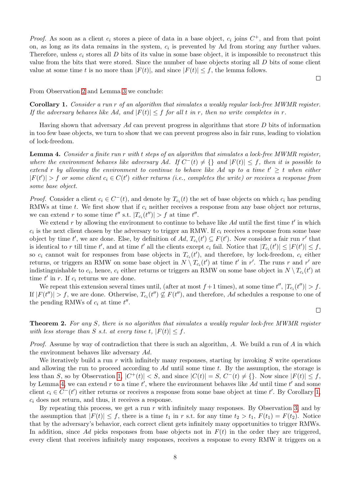*Proof.* As soon as a client  $c_i$  stores a piece of data in a base object,  $c_i$  joins  $C^+$ , and from that point on, as long as its data remains in the system,  $c_i$  is prevented by Ad from storing any further values. Therefore, unless  $c_i$  stores all  $D$  bits of its value in some base object, it is impossible to reconstruct this value from the bits that were stored. Since the number of base objects storing all D bits of some client value at some time t is no more than  $|F(t)|$ , and since  $|F(t)| \leq f$ , the lemma follows.

 $\Box$ 

 $\Box$ 

From Observation [2](#page-6-2) and Lemma [3](#page-7-0) we conclude:

<span id="page-8-2"></span>Corollary 1. Consider a run r of an algorithm that simulates a weakly regular lock-free MWMR register. If the adversary behaves like Ad, and  $|F(t)| \leq f$  for all t in r, then no write completes in r.

Having shown that adversary  $Ad$  can prevent progress in algorithms that store  $D$  bits of information in too few base objects, we turn to show that we can prevent progress also in fair runs, leading to violation of lock-freedom.

<span id="page-8-0"></span>Lemma 4. Consider a finite run r with t steps of an algorithm that simulates a lock-free MWMR register, where the environment behaves like adversary Ad. If  $C^{-}(t) \neq \{\}$  and  $|F(t)| \leq f$ , then it is possible to extend r by allowing the environment to continue to behave like Ad up to a time  $t' \geq t$  when either  $|F(t')| > f$  or some client  $c_i \in C(t')$  either returns (i.e., completes the write) or receives a response from some base object.

*Proof.* Consider a client  $c_i \in C^{-}(t)$ , and denote by  $T_{c_i}(t)$  the set of base objects on which  $c_i$  has pending RMWs at time  $t$ . We first show that if  $c_i$  neither receives a response from any base object nor returns, we can extend r to some time  $t''$  s.t.  $|T_{c_i}(t'')| > f$  at time  $t''$ .

We extend r by allowing the environment to continue to behave like  $Ad$  until the first time  $t'$  in which  $c_i$  is the next client chosen by the adversary to trigger an RMW. If  $c_i$  receives a response from some base object by time t', we are done. Else, by definition of  $Ad$ ,  $T_{c_i}(t') \subseteq F(t')$ . Now consider a fair run r' that is identical to r till time t', and at time t' all the clients except  $c_i$  fail. Notice that  $|T_{c_i}(t')| \leq |F(t')| \leq f$ , so  $c_i$  cannot wait for responses from base objects in  $T_{c_i}(t')$ , and therefore, by lock-freedom,  $c_i$  either returns, or triggers an RMW on some base object in  $N \setminus T_{c_i}(t')$  at time t' in r'. The runs r and r' are indistinguishable to  $c_i$ , hence,  $c_i$  either returns or triggers an RMW on some base object in  $N \setminus T_{c_i}(t')$  at time  $t'$  in r. If  $c_i$  returns we are done.

We repeat this extension several times until, (after at most  $f+1$  times), at some time  $t''$ ,  $|T_{c_i}(t'')| > f$ . If  $|F(t'')| > f$ , we are done. Otherwise,  $T_{c_i}(t'') \nsubseteq F(t'')$ , and therefore, Ad schedules a response to one of the pending RMWs of  $c_i$  at time  $t''$ .

<span id="page-8-1"></span>Theorem 2. For any S, there is no algorithm that simulates a weakly regular lock-free MWMR register with less storage than S s.t. at every time t,  $|F(t)| \leq f$ .

*Proof.* Assume by way of contradiction that there is such an algorithm, A. We build a run of A in which the environment behaves like adversary Ad.

We iteratively build a run r with infinitely many responses, starting by invoking  $S$  write operations and allowing the run to proceed according to  $Ad$  until some time t. By the assumption, the storage is less than S, so by Observation [1,](#page-6-3)  $|C^+(t)| < S$ , and since  $|C(t)| = S$ ,  $C^-(t) \neq \{\}$ . Now since  $|F(t)| \leq f$ , by Lemma [4,](#page-8-0) we can extend r to a time  $t'$ , where the environment behaves like Ad until time  $t'$  and some client  $c_i \in C^{-}(t')$  either returns or receives a response from some base object at time t'. By Corollary [1,](#page-8-2)  $c_i$  does not return, and thus, it receives a response.

By repeating this process, we get a run  $r$  with infinitely many responses. By Observation [3,](#page-7-2) and by the assumption that  $|F(t)| \leq f$ , there is a time  $t_1$  in r s.t. for any time  $t_2 > t_1$ ,  $F(t_1) = F(t_2)$ . Notice that by the adversary's behavior, each correct client gets infinitely many opportunities to trigger RMWs. In addition, since Ad picks responses from base objects not in  $F(t)$  in the order they are triggered, every client that receives infinitely many responses, receives a response to every RMW it triggers on a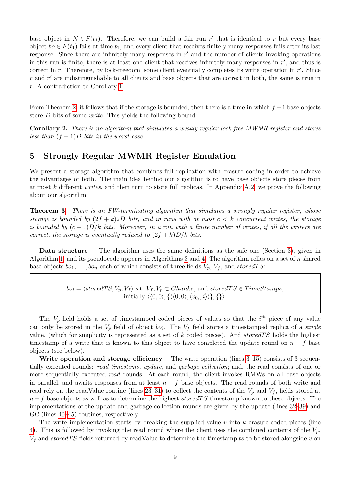base object in  $N \setminus F(t_1)$ . Therefore, we can build a fair run r' that is identical to r but every base object  $bo \in F(t_1)$  fails at time  $t_1$ , and every client that receives finitely many responses fails after its last response. Since there are infinitely many responses in  $r'$  and the number of clients invoking operations in this run is finite, there is at least one client that receives infinitely many responses in  $r'$ , and thus is correct in  $r$ . Therefore, by lock-freedom, some client eventually completes its write operation in  $r'$ . Since  $r$  and  $r'$  are indistinguishable to all clients and base objects that are correct in both, the same is true in r. A contradiction to Corollary [1.](#page-8-2)

From Theorem [2,](#page-8-1) it follows that if the storage is bounded, then there is a time in which  $f + 1$  base objects store D bits of some write. This yields the following bound:

 $\Box$ 

Corollary 2. There is no algorithm that simulates a weakly regular lock-free MWMR register and stores less than  $(f+1)D$  bits in the worst case.

# <span id="page-9-0"></span>5 Strongly Regular MWMR Register Emulation

We present a storage algorithm that combines full replication with erasure coding in order to achieve the advantages of both. The main idea behind our algorithm is to have base objects store pieces from at most k different writes, and then turn to store full replicas. In Appendix [A.2,](#page-14-0) we prove the following about our algorithm:

Theorem [3.](#page-17-2) There is an FW-terminating algorithm that simulates a strongly regular register, whose storage is bounded by  $(2f + k)2D$  bits, and in runs with at most  $c < k$  concurrent writes, the storage is bounded by  $(c+1)D/k$  bits. Moreover, in a run with a finite number of writes, if all the writers are correct, the storage is eventually reduced to  $(2f + k)D/k$  bits.

Data structure The algorithm uses the same definitions as the safe one (Section [3\)](#page-3-0), given in Algorithm [1,](#page-4-1) and its pseudocode appears in Algorithms [3](#page-11-1) and [4.](#page-11-2) The algorithm relies on a set of  $n$  shared base objects  $bo_1, \ldots, bo_n$  each of which consists of three fields  $V_p$ ,  $V_f$ , and storedTS:

> $bo_i = \langle storedTS, V_p, V_f \rangle$  s.t.  $V_f, V_p \subset Chunks$ , and storedTS  $\in TimeStamps$ , initially  $\langle 0, 0 \rangle, \{\langle 0, 0 \rangle, \langle v_{0_i}, i \rangle \rangle\}, \{\}\rangle.$

The  $V_p$  field holds a set of timestamped coded pieces of values so that the  $i^{th}$  piece of any value can only be stored in the  $V_p$  field of object  $bo_i$ . The  $V_f$  field stores a timestamped replica of a *single* value, (which for simplicity is represented as a set of k coded pieces). And storedTS holds the highest timestamp of a write that is known to this object to have completed the update round on  $n - f$  base objects (see below).

Write operation and storage efficiency The write operation (lines  $3-15$ ) consists of 3 sequentially executed rounds: read timestemp, update, and garbage collection; and, the read consists of one or more sequentially executed *read* rounds. At each round, the client invokes RMWs on all base objects in parallel, and awaits responses from at least  $n - f$  base objects. The read rounds of both write and read rely on the readValue routine (lines [23–31\)](#page-11-2) to collect the contents of the  $V_p$  and  $V_f$ , fields stored at  $n - f$  base objects as well as to determine the highest storedTS timestamp known to these objects. The implementations of the update and garbage collection rounds are given by the update (lines [32–39\)](#page-11-2) and GC (lines [40–45\)](#page-11-2) routines, respectively.

The write implementation starts by breaking the supplied value  $v$  into  $k$  erasure-coded pieces (line [4\)](#page-11-1). This is followed by invoking the read round where the client uses the combined contents of the  $V_p$ ,  $V_f$  and storedTS fields returned by readValue to determine the timestamp ts to be stored alongside v on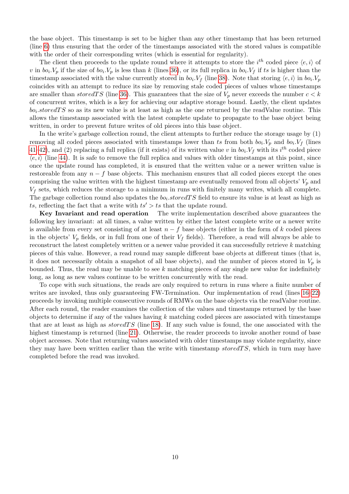the base object. This timestamp is set to be higher than any other timestamp that has been returned (line [6\)](#page-11-1) thus ensuring that the order of the timestamps associated with the stored values is compatible with the order of their corresponding writes (which is essential for regularity).

The client then proceeds to the update round where it attempts to store the  $i^{th}$  coded piece  $\langle e, i \rangle$  of v in  $bo_i.V_p$  if the size of  $bo_i.V_p$  is less than k (lines [36\)](#page-11-2), or its full replica in  $bo_i.V_f$  if ts is higher than the timestamp associated with the value currently stored in  $bo_i.V_f$  (line [38\)](#page-11-2). Note that storing  $\langle e, i \rangle$  in  $bo_i.V_p$ coincides with an attempt to reduce its size by removing stale coded pieces of values whose timestamps are smaller than stored TS (line [36\)](#page-11-2). This guarantees that the size of  $V_p$  never exceeds the number  $c < k$ of concurrent writes, which is a key for achieving our adaptive storage bound. Lastly, the client updates  $bo<sub>i</sub> stored TS$  so as its new value is at least as high as the one returned by the readValue routine. This allows the timestamp associated with the latest complete update to propagate to the base object being written, in order to prevent future writes of old pieces into this base object.

In the write's garbage collection round, the client attempts to further reduce the storage usage by (1) removing all coded pieces associated with timestamps lower than ts from both  $bo_i.V_p$  and  $bo_i.V_f$  (lines [41–42\)](#page-11-2), and (2) replacing a full replica (if it exists) of its written value v in  $bo_i.V_f$  with its  $i^{th}$  coded piece  $\langle e, i \rangle$  (line [44\)](#page-11-2). It is safe to remove the full replica and values with older timestamps at this point, since once the update round has completed, it is ensured that the written value or a newer written value is restoreable from any  $n - f$  base objects. This mechanism ensures that all coded pieces except the ones comprising the value written with the highest timestamp are eventually removed from all objects'  $V_p$  and  $V_f$  sets, which reduces the storage to a minimum in runs with finitely many writes, which all complete. The garbage collection round also updates the  $bo_i.stored TS$  field to ensure its value is at least as high as ts, reflecting the fact that a write with  $ts' > ts$  that the update round.

Key Invariant and read operation The write implementation described above guarantees the following key invariant: at all times, a value written by either the latest complete write or a newer write is available from every set consisting of at least  $n - f$  base objects (either in the form of k coded pieces in the objects'  $V_p$  fields, or in full from one of their  $V_f$  fields). Therefore, a read will always be able to reconstruct the latest completely written or a newer value provided it can successfully retrieve k matching pieces of this value. However, a read round may sample different base objects at different times (that is, it does not necessarily obtain a snapshot of all base objects), and the number of pieces stored in  $V_p$  is bounded. Thus, the read may be unable to see  $k$  matching pieces of any single new value for indefinitely long, as long as new values continue to be written concurrently with the read.

To cope with such situations, the reads are only required to return in runs where a finite number of writes are invoked, thus only guaranteeing FW-Termination. Our implementation of read (lines  $16-22$ ) proceeds by invoking multiple consecutive rounds of RMWs on the base objects via the readValue routine. After each round, the reader examines the collection of the values and timestamps returned by the base objects to determine if any of the values having  $k$  matching coded pieces are associated with timestamps that are at least as high as  $storedTS$  (line [18\)](#page-11-1). If any such value is found, the one associated with the highest timestamp is returned (line [21\)](#page-11-1). Otherwise, the reader proceeds to invoke another round of base object accesses. Note that returning values associated with older timestamps may violate regularity, since they may have been written earlier than the write with timestamp storedTS, which in turn may have completed before the read was invoked.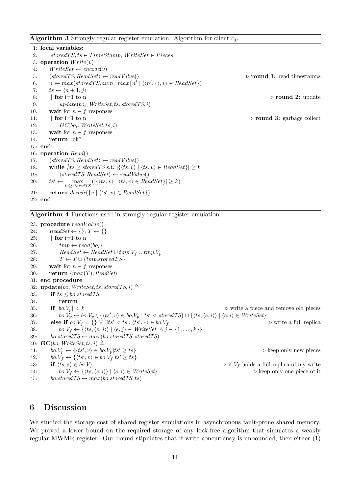<span id="page-11-1"></span>**Algorithm 3** Strongly regular register emulation. Algorithm for client  $c_i$ .

1: local variables: 2: storedTS, ts  $\in$  TimeStamp, WriteSet  $\in$  Pieces 3: operation  $Write(v)$ 4:  $WriteSet \leftarrow encode(v)$ 5:  $\langle storedTS, ReadSet \rangle \leftarrow readValue()$  .  $\triangleright$  round 1: read timestamps 6:  $n \leftarrow max(storedTS(num, max\{n' | \langle \langle n', * \rangle, *\rangle \in ReadSet\})$ 7:  $ts \leftarrow \langle n + 1, i \rangle$ 8:  $\parallel$  for i=1 to n  $\triangleright$  round 2: update 9:  $update(bo_i, WriteSet, ts, stored TS, i)$ 10: **wait** for  $n - f$  responses 11:  $\parallel$  for i=1 to n  $\triangleright$  round 3: garbage collect 12:  $GC(bo_i, WriteSet, ts, i)$ 13: wait for  $n - f$  responses 14: return "ok" 15: end 16: operation Read() 17:  $\langle stored \, TS, ReadSet \rangle \leftarrow readValue()$ 18: while  $\exists ts \ge stored TS \text{ s.t. } |\{(ts, v) | \langle ts, v \rangle \in ReadSet\}| \ge k$ 19:  $\langle stored \, TS, ReadSet \rangle \leftarrow readValue()$ 20:  $ts' \leftarrow \max_{ts \ge stored \, TS} (|\{\langle ts, v \rangle | \langle ts, v \rangle \in ReadSet\}| \ge k)$ 21: **return**  $decode({v | \langle ts', v \rangle \in ReadSet})$ 22: end

<span id="page-11-2"></span>Algorithm 4 Functions used in strongly regular register emulation.

23: procedure  $readValue()$ 24:  $ReadSet \leftarrow \{\}, T \leftarrow \{\}$ 25:  $\parallel$  for i=1 to n 26:  $tmp \leftarrow read(bo_i)$ 27:  $ReadSet \leftarrow ReadSet \cup tmp.V_f \cup tmp.V_p$ 28:  $T \leftarrow T \cup \{tmp.stored TS\}$ 29: **wait** for  $n - f$  responses 30: return  $\langle max(T), ReadSet \rangle$ 31: end procedure 32: update(bo, WriteSet, ts, storedTS, i)  $\triangleq$ 33: if  $ts \leq 6$ *o.storedTS* 34: **return**<br>35: **if**  $|bo.V_p| < k$ 35: if  $|bo.V_p| < k$   $\triangleright$  write a piece and remove old pieces 36: bo. $V_p \leftarrow bo.V_p \setminus \{ \langle ts', v \rangle \in bo.V_p \mid ts' < stored \textit{TS} \} \cup \{ \langle ts, \langle e, i \rangle \rangle \mid \langle e, i \rangle \in WriteSet \}$ 37: else if  $bo.V_f = \{\} \lor \exists ts' < ts : \langle ts', * \rangle \in bo.V_f$ ⊳ write a full replica 38: bo. $V_f \leftarrow {\langle \langle ts, \langle e, j \rangle \rangle | \langle e, j \rangle \in WriteSet \land j \in \{1, ..., k\} }$ 39: bo.storedTS  $\leftarrow max(bo.storedTS, storedTS)$ 40:  $\mathbf{GC}(bo, WriteSet, ts, i) \triangleq$ 41:  $bo.V_p \leftarrow {\langle ts', v \rangle \in bo.V_p|ts' \ge ts}$   $\triangleright$  keep only new pieces 42:  $bo.\dot{V}_f \leftarrow {\langle ts', v \rangle \in bo.\dot{V}_f |ts' \geq ts}$ 43: if  $\langle ts, *\rangle \in bo.V_f$   $\triangleright$  if  $V_f$  holds a full replica of my write 44: bo. $V_f \leftarrow {\langle \langle ts, \langle e, i \rangle \rangle | \langle e, i \rangle \in WriteSet}$   $\triangleright$  keep only one piece of it 45: bo.storedTS  $\leftarrow max(bo.storedTS, ts)$ 

# <span id="page-11-0"></span>6 Discussion

We studied the storage cost of shared register simulations in asynchronous fault-prone shared memory. We proved a lower bound on the required storage of any lock-free algorithm that simulates a weakly regular MWMR register. Our bound stipulates that if write concurrency is unbounded, then either (1)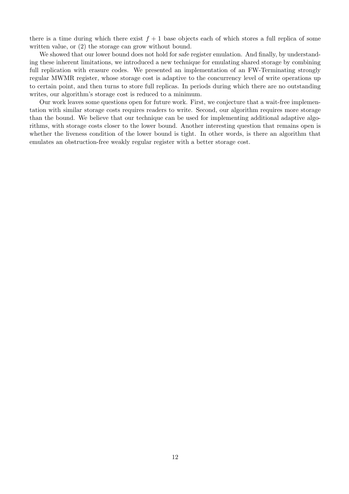there is a time during which there exist  $f + 1$  base objects each of which stores a full replica of some written value, or  $(2)$  the storage can grow without bound.

We showed that our lower bound does not hold for safe register emulation. And finally, by understanding these inherent limitations, we introduced a new technique for emulating shared storage by combining full replication with erasure codes. We presented an implementation of an FW-Terminating strongly regular MWMR register, whose storage cost is adaptive to the concurrency level of write operations up to certain point, and then turns to store full replicas. In periods during which there are no outstanding writes, our algorithm's storage cost is reduced to a minimum.

Our work leaves some questions open for future work. First, we conjecture that a wait-free implementation with similar storage costs requires readers to write. Second, our algorithm requires more storage than the bound. We believe that our technique can be used for implementing additional adaptive algorithms, with storage costs closer to the lower bound. Another interesting question that remains open is whether the liveness condition of the lower bound is tight. In other words, is there an algorithm that emulates an obstruction-free weakly regular register with a better storage cost.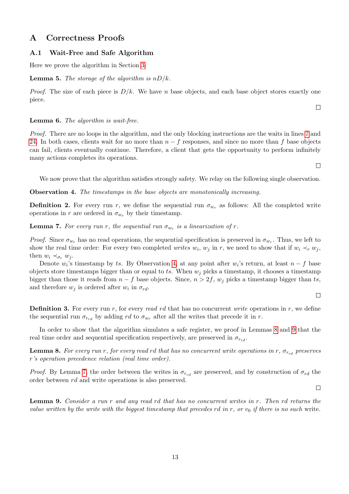# A Correctness Proofs

### <span id="page-13-0"></span>A.1 Wait-Free and Safe Algorithm

Here we prove the algorithm in Section [3.](#page-3-0)

#### **Lemma 5.** The storage of the algorithm is  $nD/k$ .

*Proof.* The size of each piece is  $D/k$ . We have n base objects, and each base object stores exactly one piece.

#### Lemma 6. The algorithm is wait-free.

Proof. There are no loops in the algorithm, and the only blocking instructions are the waits in lines [7](#page-4-2) and [24.](#page-4-2) In both cases, clients wait for no more than  $n - f$  responses, and since no more than f base objects can fail, clients eventually continue. Therefore, a client that gets the opportunity to perform infinitely many actions completes its operations.

We now prove that the algorithm satisfies strongly safety. We relay on the following single observation.

<span id="page-13-1"></span>Observation 4. The timestamps in the base objects are monotonically increasing.

**Definition 2.** For every run r, we define the sequential run  $\sigma_{w_r}$  as follows: All the completed write operations in r are ordered in  $\sigma_{w_r}$  by their timestamp.

<span id="page-13-4"></span>**Lemma 7.** For every run r, the sequential run  $\sigma_{w_r}$  is a linearization of r.

*Proof.* Since  $\sigma_{w_r}$  has no read operations, the sequential specification is preserved in  $\sigma_{w_r}$ . Thus, we left to show the real time order: For every two completed *writes*  $w_i$ ,  $w_j$  in r, we need to show that if  $w_i \prec_r w_j$ , then  $w_i \prec_{\sigma_r} w_i$ .

Denote  $w_i$ 's timestamp by ts. By Observation [4,](#page-13-1) at any point after  $w_i$ 's return, at least  $n-f$  base objects store timestamps bigger than or equal to ts. When  $w_j$  picks a timestamp, it chooses a timestamp bigger than those it reads from  $n - f$  base objects. Since,  $n > 2f$ ,  $w_i$  picks a timestamp bigger than ts, and therefore  $w_j$  is ordered after  $w_i$  in  $\sigma_{rd}$ .

#### $\Box$

 $\Box$ 

**Definition 3.** For every run r, for every read rd that has no concurrent write operations in r, we define the sequential run  $\sigma_{r_{rd}}$  by adding rd to  $\sigma_{w_r}$  after all the writes that precede it in r.

In order to show that the algorithm simulates a safe register, we proof in Lemmas [8](#page-13-2) and [9](#page-13-3) that the real time order and sequential specification respectively, are preserved in  $\sigma_{r_{rel}}$ .

<span id="page-13-2"></span>**Lemma 8.** For every run r, for every read rd that has no concurrent write operations in r,  $\sigma_{r_{rd}}$  preserves r's operation precedence relation (real time order).

*Proof.* By Lemma [7,](#page-13-4) the order between the writes in  $\sigma_{r_{rd}}$  are preserved, and by construction of  $\sigma_{rd}$  the order between rd and write operations is also preserved.

<span id="page-13-3"></span>Lemma 9. Consider a run r and any read rd that has no concurrent writes in r. Then rd returns the value written by the write with the biggest timestamp that precedes rd in r, or  $v_0$  if there is no such write.

 $\Box$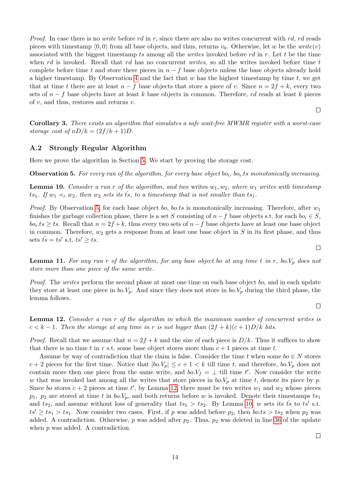*Proof.* In case there is no *write* before rd in r, since there are also no writes concurrent with rd, rd reads pieces with timestamp  $(0, 0)$  from all base objects, and thus, returns  $v_0$ . Otherwise, let w be the write $(v)$ associated with the biggest timestamp ts among all the *writes* invoked before  $rd$  in  $r$ . Let  $t$  be the time when rd is invoked. Recall that rd has no concurrent writes, so all the writes invoked before time t complete before time t and store there pieces in  $n - f$  base objects unless the base objects already hold a higher timestamp. By Observation [4](#page-13-1) and the fact that  $w$  has the highest timestamp by time  $t$ , we get that at time t there are at least  $n - f$  base objects that store a piece of v. Since  $n = 2f + k$ , every two sets of  $n - f$  base objects have at least k base objects in common. Therefore, rd reads at least k pieces of  $v$ , and thus, restores and returns  $v$ .

 $\Box$ 

Corollary 3. There exists an algorithm that simulates a safe wait-free MWMR register with a worst-case storage cost of  $nD/k = (2f/k + 1)D$ .

### <span id="page-14-0"></span>A.2 Strongly Regular Algorithm

Here we prove the algorithm in Section [5.](#page-9-0) We start by proving the storage cost.

<span id="page-14-1"></span>**Observation 5.** For every run of the algorithm, for every base object bo<sub>i</sub>, bo<sub>i</sub>, ts monotonically increasing.

<span id="page-14-3"></span>**Lemma 10.** Consider a run r of the algorithm, and two writes  $w_1, w_2$ , where  $w_1$  writes with timestamp ts<sub>1</sub>. If  $w_1 \prec_r w_2$ , then  $w_2$  sets its  $\hat{t}_s$ , to a timestamp that is not smaller than  $ts_1$ .

*Proof.* By Observation [5,](#page-14-1) for each base object bo, bo.ts is monotonically increasing. Therefore, after  $w_1$ finishes the garbage collection phase, there is a set S consisting of  $n-f$  base objects s.t. for each  $bo_i \in S$ ,  $bo<sub>i</sub>.ts \geq ts$ . Recall that  $n = 2f + k$ , thus every two sets of  $n - f$  base objects have at least one base object in common. Therefore,  $w_2$  gets a response from at least one base object in S in its first phase, and thus sets  $\hat{ts} = ts'$  s.t.  $ts' \ge ts$ .

**Lemma 11.** For any run r of the algorithm, for any base object bo at any time t in r, bo. $V_p$  does not store more than one piece of the same write.

Proof. The writes perform the second phase at most one time on each base object bo, and in each update they store at least one piece in  $bo.V_p$ . And since they does not store in  $bo.V_p$  during the third phase, the lemma follows.

<span id="page-14-2"></span>Lemma 12. Consider a run r of the algorithm in which the maximum number of concurrent writes is  $c < k - 1$ . Then the storage at any time in r is not bigger than  $(2f + k)(c + 1)D/k$  bits.

*Proof.* Recall that we assume that  $n = 2f + k$  and the size of each piece is  $D/k$ . Thus it suffices to show that there is no time t in r s.t. some base object stores more than  $c + 1$  pieces at time t.

Assume by way of contradiction that the claim is false. Consider the time t when some  $bo \in N$  stores  $c+2$  pieces for the first time. Notice that  $|bo.V_p| \leq c+1 < k$  till time t, and therefore,  $bo.V_p$  does not contain more then one piece from the same write, and  $bo.V_f = \perp$  till time t'. Now consider the write w that was invoked last among all the writes that store pieces in  $bo.V_p$  at time t, denote its piece by p. Since bo stores  $c + 2$  pieces at time t', by Lemma [12,](#page-14-2) there must be two writes  $w_1$  and  $w_2$  whose pieces  $p_1$ ,  $p_2$  are stored at time t in  $bo.V_p$ , and both returns before w is invoked. Denote their timestamps  $ts_1$ and ts<sub>2</sub>, and assume without loss of generality that  $ts_1 > ts_2$ . By Lemma [10,](#page-14-3) w sets its ts<sup>i</sup> st.  $ts' \geq ts_1 > ts_1$ . Now consider two cases. First, if p was added before  $p_2$ , then bo.ts  $> ts_2$  when  $p_2$  was added. A contradiction. Otherwise, p was added after  $p_2$ . Thus,  $p_2$  was deleted in line [36](#page-11-2) of the update when  $p$  was added. A contradiction.

 $\Box$ 

 $\Box$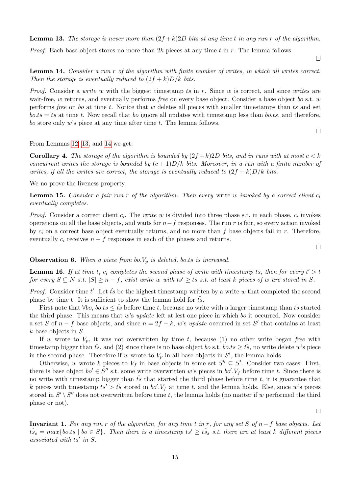<span id="page-15-0"></span>**Lemma 13.** The storage is never more than  $(2f + k)2D$  bits at any time t in any run r of the algorithm.

*Proof.* Each base object stores no more than 2k pieces at any time t in r. The lemma follows.

 $\Box$ 

 $\Box$ 

<span id="page-15-1"></span>Lemma 14. Consider a run r of the algorithm with finite number of writes, in which all writes correct. Then the storage is eventually reduced to  $(2f + k)D/k$  bits.

*Proof.* Consider a write w with the biggest timestamp ts in r. Since w is correct, and since writes are wait-free, w returns, and eventually performs free on every base object. Consider a base object bo s.t. w performs free on bo at time t. Notice that w deletes all pieces with smaller timestamps than ts and set  $b \circ b \circ t s = ts$  at time t. Now recall that bo ignore all updates with timestamp less than boths, and therefore, bo store only  $w$ 's piece at any time after time  $t$ . The lemma follows.

From Lemmas [12,](#page-14-2) [13,](#page-15-0) and [14](#page-15-1) we get:

<span id="page-15-6"></span>**Corollary 4.** The storage of the algorithm is bounded by  $(2f +k)2D$  bits, and in runs with at most  $c < k$ concurrent writes the storage is bounded by  $(c+1)D/k$  bits. Moreover, in a run with a finite number of writes, if all the writes are correct, the storage is eventually reduced to  $(2f + k)D/k$  bits.

We no prove the liveness property.

<span id="page-15-4"></span>**Lemma 15.** Consider a fair run r of the algorithm. Then every write w invoked by a correct client  $c_i$ eventually completes.

*Proof.* Consider a correct client  $c_i$ . The *write* w is divided into three phase s.t. in each phase,  $c_i$  invokes operations on all the base objects, and waits for  $n-f$  responses. The run r is fair, so every action invoked by  $c_i$  on a correct base object eventually returns, and no more than f base objects fail in r. Therefore, eventually  $c_i$  receives  $n - f$  responses in each of the phases and returns.

#### <span id="page-15-3"></span>**Observation 6.** When a piece from bo. $V_p$  is deleted, bo.ts is increased.

<span id="page-15-2"></span>**Lemma 16.** If at time t,  $c_i$  completes the second phase of write with timestamp ts, then for every  $t' > t$ for every  $S \subseteq N$  s.t.  $|S| \geq n-f$ , exist write w with  $ts' \geq ts$  s.t. at least k pieces of w are stored in S.

*Proof.* Consider time t'. Let  $\hat{t}_s$  be the highest timestamp written by a write w that completed the second phase by time t. It is sufficient to show the lemma hold for  $\hat{ts}$ .

First note that  $\forall bo, \text{ } b \circ \text{ } ts \leq \hat{ts}$  before time t, because no write with a larger timestamp than ts<sup>§</sup> started the third phase. This means that w's update left at lest one piece in which bo it occurred. Now consider a set S of  $n - f$  base objects, and since  $n = 2f + k$ , w's update occurred in set S' that contains at least  $k$  base objects in  $S$ .

If w wrote to  $V_p$ , it was not overwritten by time t, because (1) no other write began free with timestamp bigger than  $\hat{ts}$ , and (2) since there is no base object bo s.t. bo.ts  $\geq \hat{ts}$ , no write delete w's piece in the second phase. Therefore if w wrote to  $V_p$  in all base objects in  $S'$ , the lemma holds.

Otherwise, w wrote k pieces to  $V_f$  in base objects in some set  $S'' \subseteq S'$ . Consider two cases: First, there is base object  $bo' \in S''$  s.t. some write overwritten w's pieces in  $bo'.V_f$  before time t. Since there is no write with timestamp bigger than  $\hat{ts}$  that started the third phase before time t, it is guarantee that k pieces with timestamp  $ts' > \hat{ts}$  stored in  $bo'.V_f$  at time t, and the lemma holds. Else, since w's pieces stored in  $S' \setminus S''$  does not overwritten before time t, the lemma holds (no matter if w performed the third phase or not).

<span id="page-15-5"></span>Invariant 1. For any run r of the algorithm, for any time t in r, for any set S of  $n-f$  base objects. Let  $t\hat{s}_s = max\{bots \mid b_0 \in S\}$ . Then there is a timestamp  $ts' \geq t\hat{s}_s$  s.t. there are at least k different pieces associated with  $ts'$  in  $S$ .

 $\Box$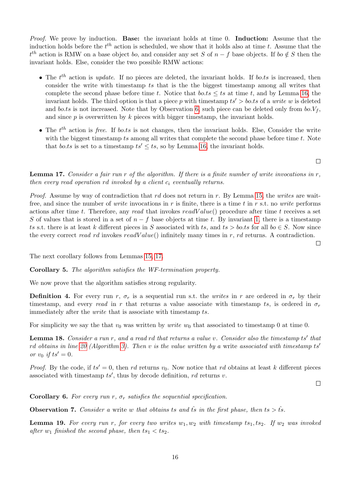Proof. We prove by induction. Base: the invariant holds at time 0. Induction: Assume that the induction holds before the  $t^{th}$  action is scheduled, we show that it holds also at time t. Assume that the  $t<sup>th</sup>$  action is RMW on a base object bo, and consider any set S of  $n-f$  base objects. If bo  $\notin S$  then the invariant holds. Else, consider the two possible RMW actions:

- The  $t^{th}$  action is update. If no pieces are deleted, the invariant holds. If bo.ts is increased, then consider the write with timestamp ts that is the the biggest timestamp among all writes that complete the second phase before time t. Notice that  $b \circ t s \leq ts$  at time t, and by Lemma [16,](#page-15-2) the invariant holds. The third option is that a piece p with timestamp  $ts' > b$  o.ts of a write w is deleted and bo.ts is not increased. Note that by Observation [6,](#page-15-3) such piece can be deleted only from  $bo.V<sub>f</sub>$ , and since  $p$  is overwritten by  $k$  pieces with bigger timestamp, the invariant holds.
- The  $t^{th}$  action is free. If bo.ts is not changes, then the invariant holds. Else, Consider the write with the biggest timestamp  $ts$  among all writes that complete the second phase before time  $t$ . Note that bo.ts is set to a timestamp  $ts' < ts$ , so by Lemma [16,](#page-15-2) the invariant holds.

<span id="page-16-0"></span>**Lemma 17.** Consider a fair run r of the algorithm. If there is a finite number of write invocations in  $r$ , then every read operation rd invoked by a client  $c_i$  eventually returns.

*Proof.* Assume by way of contradiction that  $rd$  does not return in  $r$ . By Lemma [15,](#page-15-4) the writes are waitfree, and since the number of *write* invocations in r is finite, there is a time t in r s.t. no *write* performs actions after time t. Therefore, any read that invokes  $readValue()$  procedure after time t receives a set S of values that is stored in a set of  $n - f$  base objects at time t. By invariant [1,](#page-15-5) there is a timestamp ts s.t. there is at least k different pieces in S associated with ts, and ts > bo.ts for all bo  $\in$  S. Now since the every correct read rd invokes readV alue() infinitely many times in r, rd returns. A contradiction.

The next corollary follows from Lemmas [15,](#page-15-4) [17.](#page-16-0)

<span id="page-16-4"></span>Corollary 5. The algorithm satisfies the WF-termination property.

We now prove that the algorithm satisfies strong regularity.

**Definition 4.** For every run r,  $\sigma_r$  is a sequential run s.t. the writes in r are ordered in  $\sigma_r$  by their timestamp, and every read in r that returns a value associate with timestamp ts, is ordered in  $\sigma_r$ immediately after the *write* that is associate with timestamp ts.

For simplicity we say the that  $v_0$  was written by *write*  $w_0$  that associated to timestamp 0 at time 0.

**Lemma 18.** Consider a run r, and a read rd that returns a value v. Consider also the timestamp  $ts'$  that rd obtains in line [20](#page-11-1) (Algorithm [3\)](#page-11-1). Then v is the value written by a write associated with timestamp ts' or  $v_0$  if  $ts' = 0$ .

*Proof.* By the code, if  $ts' = 0$ , then rd returns  $v_0$ . Now notice that rd obtains at least k different pieces associated with timestamp  $ts'$ , thus by decode definition, rd returns v.

 $\Box$ 

<span id="page-16-3"></span>Corollary 6. For every run r,  $\sigma_r$  satisfies the sequential specification.

<span id="page-16-1"></span>**Observation 7.** Consider a write w that obtains ts and ts<sup>s</sup> in the first phase, then ts  $>$  ts<sup>s</sup>.

<span id="page-16-2"></span>**Lemma 19.** For every run r, for every two writes  $w_1, w_2$  with timestamp  $ts_1, ts_2$ . If  $w_2$  was invoked after  $w_1$  finished the second phase, then  $ts_1 < ts_2$ .

 $\Box$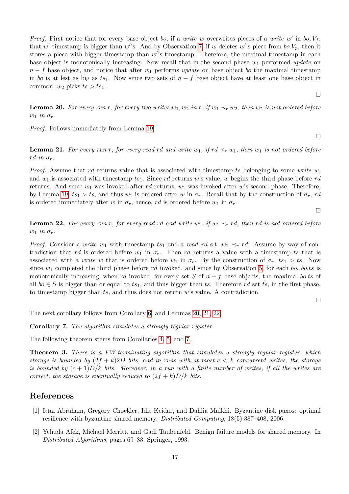*Proof.* First notice that for every base object bo, if a write w overwrites pieces of a write w' in bo,  $V_f$ , that w' timestamp is bigger than w''s. And by Observation [7,](#page-16-1) if w deletes w''s piece from  $bo.V_p$ , then it stores a piece with bigger timestamp than  $w'$ 's timestamp. Therefore, the maximal timestamp in each base object is monotonically increasing. Now recall that in the second phase  $w_1$  performed update on  $n-f$  base object, and notice that after  $w_1$  performs update on base object bo the maximal timestamp in bo is at lest as big as ts<sub>1</sub>. Now since two sets of  $n - f$  base object have at least one base object in common,  $w_2$  picks  $ts > ts_1$ .

<span id="page-17-3"></span>**Lemma 20.** For every run r, for every two writes  $w_1, w_2$  in r, if  $w_1 \prec_r w_2$ , then  $w_2$  is not ordered before  $w_1$  in  $\sigma_r$ .

Proof. Follows immediately from Lemma [19.](#page-16-2)

<span id="page-17-4"></span>**Lemma 21.** For every run r, for every read rd and write  $w_1$ , if  $rd \prec_r w_1$ , then  $w_1$  is not ordered before rd in  $\sigma_r$ .

*Proof.* Assume that rd returns value that is associated with timestamp ts belonging to some write w, and  $w_1$  is associated with timestamp  $ts_1$ . Since rd returns w's value, w begins the third phase before rd returns. And since  $w_1$  was invoked after rd returns,  $w_1$  was invoked after w's second phase. Therefore, by Lemma [19,](#page-16-2)  $ts_1 > ts$ , and thus  $w_1$  is ordered after w in  $\sigma_r$ . Recall that by the construction of  $\sigma_r$ , rd is ordered immediately after w in  $\sigma_r$ , hence, rd is ordered before  $w_1$  in  $\sigma_r$ .

<span id="page-17-5"></span>**Lemma 22.** For every run r, for every read rd and write w<sub>1</sub>, if w<sub>1</sub>  $\prec_r$  rd, then rd is not ordered before  $w_1$  in  $\sigma_r$ .

*Proof.* Consider a write w<sub>1</sub> with timestamp ts<sub>1</sub> and a read rd s.t. w<sub>1</sub>  $\prec_r$  rd. Assume by way of contradiction that rd is ordered before  $w_1$  in  $\sigma_r$ . Then rd returns a value with a timestamp ts that is associated with a *write* w that is ordered before  $w_1$  in  $\sigma_r$ . By the construction of  $\sigma_r$ ,  $ts_1 > ts$ . Now since  $w_1$  completed the third phase before rd invoked, and since by Observation [5,](#page-14-1) for each bo, bo.ts is monotonically increasing, when rd invoked, for every set S of  $n - f$  base objects, the maximal bo.ts of all  $bo \in S$  is bigger than or equal to  $ts_1$ , and thus bigger than ts. Therefore rd set ts, in the first phase, to timestamp bigger than  $ts$ , and thus does not return  $w$ 's value. A contradiction.

 $\Box$ 

The next corollary follows from Corollary [6,](#page-16-3) and Lemmas [20,](#page-17-3) [21,](#page-17-4) [22.](#page-17-5)

<span id="page-17-6"></span>Corollary 7. The algorithm simulates a strongly regular register.

The following theorem stems from Corollaries [4,](#page-15-6) [5,](#page-16-4) and [7.](#page-17-6)

<span id="page-17-2"></span>Theorem 3. There is a FW-terminating algorithm that simulates a strongly regular register, which storage is bounded by  $(2f + k)2D$  bits, and in runs with at most  $c < k$  concurrent writes, the storage is bounded by  $(c+1)D/k$  bits. Moreover, in a run with a finite number of writes, if all the writes are correct, the storage is eventually reduced to  $(2f + k)D/k$  bits.

## References

- <span id="page-17-1"></span>[1] Ittai Abraham, Gregory Chockler, Idit Keidar, and Dahlia Malkhi. Byzantine disk paxos: optimal resilience with byzantine shared memory. Distributed Computing, 18(5):387–408, 2006.
- <span id="page-17-0"></span>[2] Yehuda Afek, Michael Merritt, and Gadi Taubenfeld. Benign failure models for shared memory. In Distributed Algorithms, pages 69–83. Springer, 1993.

 $\Box$ 

 $\Box$